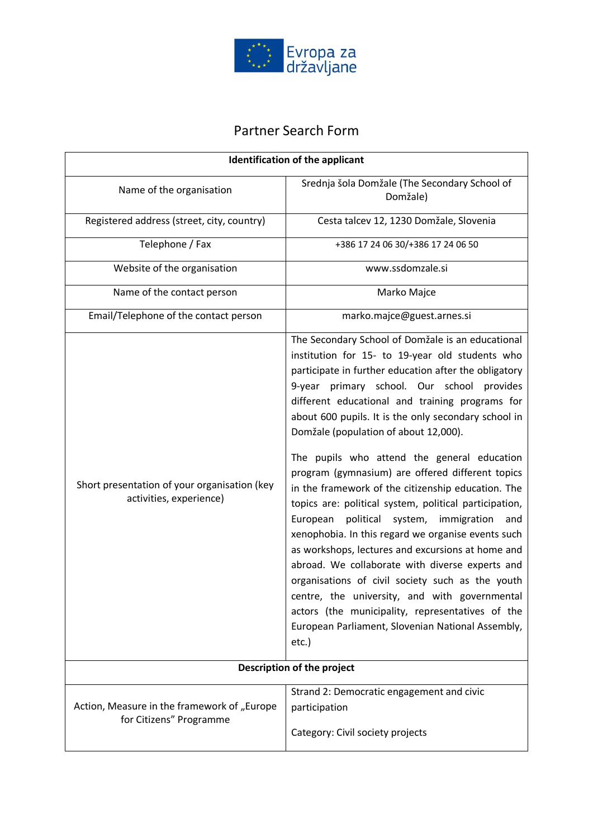

## Partner Search Form

| <b>Identification of the applicant</b>                                  |                                                                                                                                                                                                                                                                                                                                                                                                                                                                                                                                                                                                                                                                                                                                                                                                                                                                                                                                                                                                                                   |
|-------------------------------------------------------------------------|-----------------------------------------------------------------------------------------------------------------------------------------------------------------------------------------------------------------------------------------------------------------------------------------------------------------------------------------------------------------------------------------------------------------------------------------------------------------------------------------------------------------------------------------------------------------------------------------------------------------------------------------------------------------------------------------------------------------------------------------------------------------------------------------------------------------------------------------------------------------------------------------------------------------------------------------------------------------------------------------------------------------------------------|
| Name of the organisation                                                | Srednja šola Domžale (The Secondary School of<br>Domžale)                                                                                                                                                                                                                                                                                                                                                                                                                                                                                                                                                                                                                                                                                                                                                                                                                                                                                                                                                                         |
| Registered address (street, city, country)                              | Cesta talcev 12, 1230 Domžale, Slovenia                                                                                                                                                                                                                                                                                                                                                                                                                                                                                                                                                                                                                                                                                                                                                                                                                                                                                                                                                                                           |
| Telephone / Fax                                                         | +386 17 24 06 30/+386 17 24 06 50                                                                                                                                                                                                                                                                                                                                                                                                                                                                                                                                                                                                                                                                                                                                                                                                                                                                                                                                                                                                 |
| Website of the organisation                                             | www.ssdomzale.si                                                                                                                                                                                                                                                                                                                                                                                                                                                                                                                                                                                                                                                                                                                                                                                                                                                                                                                                                                                                                  |
| Name of the contact person                                              | Marko Majce                                                                                                                                                                                                                                                                                                                                                                                                                                                                                                                                                                                                                                                                                                                                                                                                                                                                                                                                                                                                                       |
| Email/Telephone of the contact person                                   | marko.majce@guest.arnes.si                                                                                                                                                                                                                                                                                                                                                                                                                                                                                                                                                                                                                                                                                                                                                                                                                                                                                                                                                                                                        |
| Short presentation of your organisation (key<br>activities, experience) | The Secondary School of Domžale is an educational<br>institution for 15- to 19-year old students who<br>participate in further education after the obligatory<br>9-year primary school. Our school provides<br>different educational and training programs for<br>about 600 pupils. It is the only secondary school in<br>Domžale (population of about 12,000).<br>The pupils who attend the general education<br>program (gymnasium) are offered different topics<br>in the framework of the citizenship education. The<br>topics are: political system, political participation,<br>political<br>system, immigration<br>European<br>and<br>xenophobia. In this regard we organise events such<br>as workshops, lectures and excursions at home and<br>abroad. We collaborate with diverse experts and<br>organisations of civil society such as the youth<br>centre, the university, and with governmental<br>actors (the municipality, representatives of the<br>European Parliament, Slovenian National Assembly,<br>$etc.$ ) |
| Description of the project                                              |                                                                                                                                                                                                                                                                                                                                                                                                                                                                                                                                                                                                                                                                                                                                                                                                                                                                                                                                                                                                                                   |
| Action, Measure in the framework of "Europe<br>for Citizens" Programme  | Strand 2: Democratic engagement and civic<br>participation<br>Category: Civil society projects                                                                                                                                                                                                                                                                                                                                                                                                                                                                                                                                                                                                                                                                                                                                                                                                                                                                                                                                    |